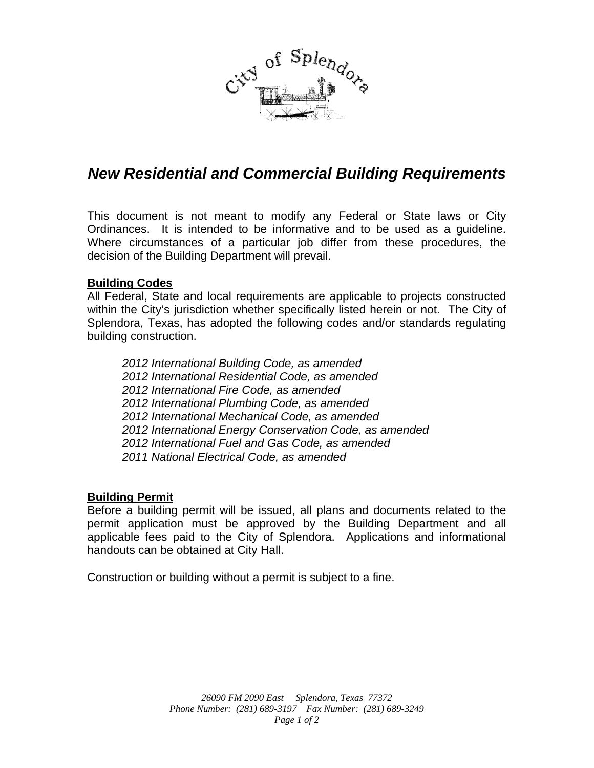

# *New Residential and Commercial Building Requirements*

This document is not meant to modify any Federal or State laws or City Ordinances. It is intended to be informative and to be used as a guideline. Where circumstances of a particular job differ from these procedures, the decision of the Building Department will prevail.

### **Building Codes**

All Federal, State and local requirements are applicable to projects constructed within the City's jurisdiction whether specifically listed herein or not. The City of Splendora, Texas, has adopted the following codes and/or standards regulating building construction.

*2012 International Building Code, as amended 2012 International Residential Code, as amended 2012 International Fire Code, as amended 2012 International Plumbing Code, as amended 2012 International Mechanical Code, as amended 2012 International Energy Conservation Code, as amended 2012 International Fuel and Gas Code, as amended 2011 National Electrical Code, as amended* 

### **Building Permit**

Before a building permit will be issued, all plans and documents related to the permit application must be approved by the Building Department and all applicable fees paid to the City of Splendora. Applications and informational handouts can be obtained at City Hall.

Construction or building without a permit is subject to a fine.